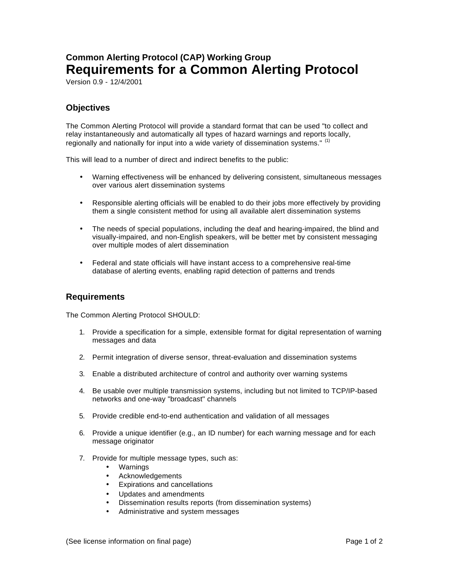## **Common Alerting Protocol (CAP) Working Group Requirements for a Common Alerting Protocol**

Version 0.9 - 12/4/2001

## **Objectives**

The Common Alerting Protocol will provide a standard format that can be used "to collect and relay instantaneously and automatically all types of hazard warnings and reports locally, regionally and nationally for input into a wide variety of dissemination systems."  $\left(1\right)$ 

This will lead to a number of direct and indirect benefits to the public:

- Warning effectiveness will be enhanced by delivering consistent, simultaneous messages over various alert dissemination systems
- Responsible alerting officials will be enabled to do their jobs more effectively by providing them a single consistent method for using all available alert dissemination systems
- The needs of special populations, including the deaf and hearing-impaired, the blind and visually-impaired, and non-English speakers, will be better met by consistent messaging over multiple modes of alert dissemination
- Federal and state officials will have instant access to a comprehensive real-time database of alerting events, enabling rapid detection of patterns and trends

## **Requirements**

The Common Alerting Protocol SHOULD:

- 1. Provide a specification for a simple, extensible format for digital representation of warning messages and data
- 2. Permit integration of diverse sensor, threat-evaluation and dissemination systems
- 3. Enable a distributed architecture of control and authority over warning systems
- 4. Be usable over multiple transmission systems, including but not limited to TCP/IP-based networks and one-way "broadcast" channels
- 5. Provide credible end-to-end authentication and validation of all messages
- 6. Provide a unique identifier (e.g., an ID number) for each warning message and for each message originator
- 7. Provide for multiple message types, such as:
	- Warnings
	- Acknowledgements
	- Expirations and cancellations
	- Updates and amendments
	- Dissemination results reports (from dissemination systems)
	- Administrative and system messages